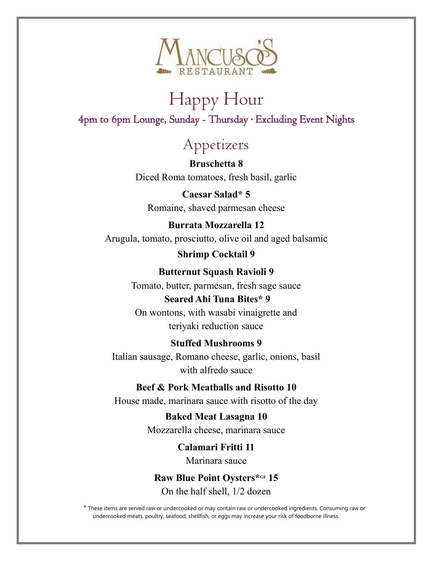

# Happy Hour 4pm to 6pm Lounge, Sunday - Thursday ∙ Excluding Event Nights

# Appetizers

 **Bruschetta 8** Diced Roma tomatoes, fresh basil, garlic

**Caesar Salad\* 5** Romaine, shaved parmesan cheese

### **Burrata Mozzarella 12** Arugula, tomato, prosciutto, olive oil and aged balsamic

**Shrimp Cocktail 9**

### **Butternut Squash Ravioli 9**

Tomato, butter, parmesan, fresh sage sauce **Seared Ahi Tuna Bites\* 9** On wontons, with wasabi vinaigrette and

teriyaki reduction sauce

### **Stuffed Mushrooms 9**

Italian sausage, Romano cheese, garlic, onions, basil with alfredo sauce

### **Beef & Pork Meatballs and Risotto 10**

House made, marinara sauce with risotto of the day

**Baked Meat Lasagna 10** Mozzarella cheese, marinara sauce

> **Calamari Fritti 11** Marinara sauce

**Raw Blue Point Oysters\*GF 15** On the half shell, 1/2 dozen

\* These items are served raw or undercooked or may contain raw or undercooked ingredients. Consuming raw or undercooked meats, poultry, seafood, shellfish, or eggs may increase your risk of foodborne illness.